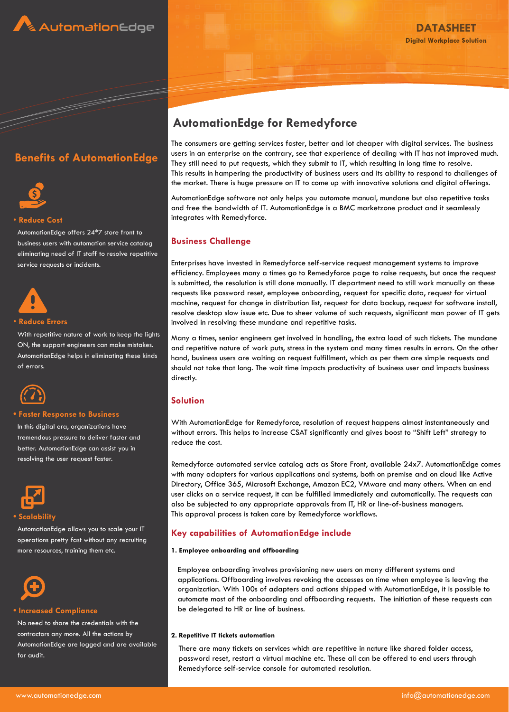





#### • **Reduce Cost**

AutomationEdge offers 24\*7 store front to business users with automation service catalog eliminating need of IT staff to resolve repetitive service requests or incidents.



#### • **Reduce Errors**

With repetitive nature of work to keep the lights ON, the support engineers can make mistakes. AutomationEdge helps in eliminating these kinds of errors.



#### **• Faster Response to Business**

In this digital era, organizations have tremendous pressure to deliver faster and better. AutomationEdge can assist you in resolving the user request faster.



AutomationEdge allows you to scale your IT operations pretty fast without any recruiting more resources, training them etc.



#### **• Increased Compliance**

No need to share the credentials with the contractors any more. All the actions by AutomationEdge are logged and are available for audit.

# **AutomationEdge for Remedyforce**

The consumers are getting services faster, better and lot cheaper with digital services. The business users in an enterprise on the contrary, see that experience of dealing with IT has not improved much. They still need to put requests, which they submit to IT, which resulting in long time to resolve. This results in hampering the productivity of business users and its ability to respond to challenges of the market. There is huge pressure on IT to come up with innovative solutions and digital offerings.

AutomationEdge software not only helps you automate manual, mundane but also repetitive tasks and free the bandwidth of IT. AutomationEdge is a BMC marketzone product and it seamlessly integrates with Remedyforce.

## **Business Challenge**

Enterprises have invested in Remedyforce self-service request management systems to improve efficiency. Employees many a times go to Remedyforce page to raise requests, but once the request is submitted, the resolution is still done manually. IT department need to still work manually on these requests like password reset, employee onboarding, request for specific data, request for virtual machine, request for change in distribution list, request for data backup, request for software install, resolve desktop slow issue etc. Due to sheer volume of such requests, significant man power of IT gets involved in resolving these mundane and repetitive tasks.

Many a times, senior engineers get involved in handling, the extra load of such tickets. The mundane and repetitive nature of work puts, stress in the system and many times results in errors. On the other hand, business users are waiting on request fulfillment, which as per them are simple requests and should not take that long. The wait time impacts productivity of business user and impacts business directly.

# **Solution**

With AutomationEdge for Remedyforce, resolution of request happens almost instantaneously and without errors. This helps to increase CSAT significantly and gives boost to "Shift Left" strategy to reduce the cost.

Remedyforce automated service catalog acts as Store Front, available 24x7. AutomationEdge comes with many adapters for various applications and systems, both on premise and on cloud like Active Directory, Office 365, Microsoft Exchange, Amazon EC2, VMware and many others. When an end user clicks on a service request, it can be fulfilled immediately and automatically. The requests can also be subjected to any appropriate approvals from IT, HR or line-of-business managers. This approval process is taken care by Remedyforce workflows.

## **Key capabilities of AutomationEdge include**

#### **1. Employee onboarding and offboarding**

Employee onboarding involves provisioning new users on many different systems and applications. Offboarding involves revoking the accesses on time when employee is leaving the organization. With 100s of adapters and actions shipped with AutomationEdge, it is possible to automate most of the onboarding and offboarding requests. The initiation of these requests can be delegated to HR or line of business.

#### **2. Repetitive IT tickets automation**

There are many tickets on services which are repetitive in nature like shared folder access, password reset, restart a virtual machine etc. These all can be offered to end users through Remedyforce self-service console for automated resolution.